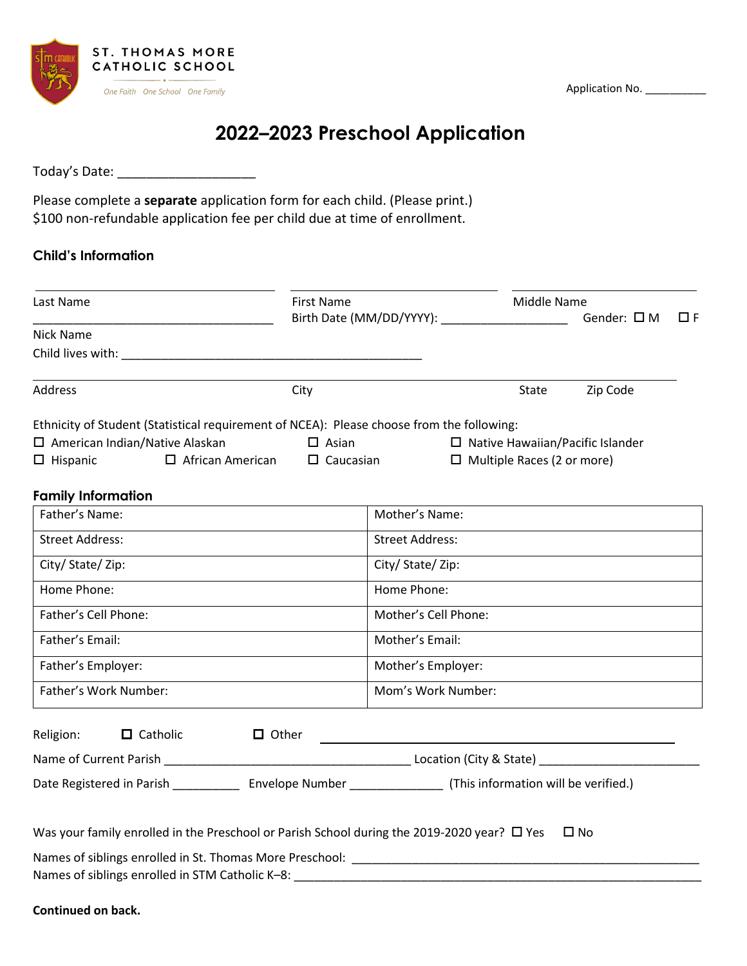Application No. \_\_\_\_\_\_\_\_\_\_\_



# **2022–2023 Preschool Application**

Today's Date: \_\_\_\_\_\_\_\_\_\_\_\_\_\_\_\_\_\_\_

Please complete a **separate** application form for each child. (Please print.) \$100 non-refundable application fee per child due at time of enrollment.

# **Child's Information**

| Last Name                                                                                                                                                                                                                                                                                                                          |                                          | First Name<br>Birth Date (MM/DD/YYYY): ______________________ |                                               |                                   | Middle Name<br>Gender: $\square$ M      |          |
|------------------------------------------------------------------------------------------------------------------------------------------------------------------------------------------------------------------------------------------------------------------------------------------------------------------------------------|------------------------------------------|---------------------------------------------------------------|-----------------------------------------------|-----------------------------------|-----------------------------------------|----------|
| Nick Name                                                                                                                                                                                                                                                                                                                          |                                          |                                                               |                                               |                                   |                                         | $\Box F$ |
|                                                                                                                                                                                                                                                                                                                                    |                                          |                                                               |                                               |                                   |                                         |          |
| <b>Address</b>                                                                                                                                                                                                                                                                                                                     | City                                     |                                                               |                                               | State                             | Zip Code                                |          |
| Ethnicity of Student (Statistical requirement of NCEA): Please choose from the following:                                                                                                                                                                                                                                          |                                          |                                                               |                                               |                                   |                                         |          |
| $\Box$ American Indian/Native Alaskan                                                                                                                                                                                                                                                                                              |                                          | $\Box$ Asian                                                  |                                               |                                   | $\Box$ Native Hawaiian/Pacific Islander |          |
| $\Box$ Hispanic                                                                                                                                                                                                                                                                                                                    | $\Box$ African American $\Box$ Caucasian |                                                               |                                               | $\Box$ Multiple Races (2 or more) |                                         |          |
| <b>Family Information</b>                                                                                                                                                                                                                                                                                                          |                                          |                                                               |                                               |                                   |                                         |          |
| Father's Name:                                                                                                                                                                                                                                                                                                                     |                                          |                                                               | Mother's Name:                                |                                   |                                         |          |
| <b>Street Address:</b>                                                                                                                                                                                                                                                                                                             |                                          |                                                               | <b>Street Address:</b>                        |                                   |                                         |          |
| City/ State/ Zip:                                                                                                                                                                                                                                                                                                                  |                                          |                                                               | City/ State/ Zip:                             |                                   |                                         |          |
| Home Phone:                                                                                                                                                                                                                                                                                                                        |                                          |                                                               | Home Phone:                                   |                                   |                                         |          |
| Father's Cell Phone:                                                                                                                                                                                                                                                                                                               |                                          |                                                               | Mother's Cell Phone:                          |                                   |                                         |          |
| Father's Email:                                                                                                                                                                                                                                                                                                                    |                                          |                                                               | Mother's Email:                               |                                   |                                         |          |
| Father's Employer:                                                                                                                                                                                                                                                                                                                 |                                          |                                                               | Mother's Employer:                            |                                   |                                         |          |
| Father's Work Number:                                                                                                                                                                                                                                                                                                              |                                          |                                                               | Mom's Work Number:                            |                                   |                                         |          |
| $\Box$ Catholic<br>Religion:                                                                                                                                                                                                                                                                                                       | $\Box$ Other                             |                                                               |                                               |                                   |                                         |          |
|                                                                                                                                                                                                                                                                                                                                    |                                          |                                                               | <u> 1989 - Andrea Andrew Maria (h. 1989).</u> |                                   |                                         |          |
| Date Registered in Parish ________________ Envelope Number __________________ (This information will be verified.)                                                                                                                                                                                                                 |                                          |                                                               |                                               |                                   |                                         |          |
|                                                                                                                                                                                                                                                                                                                                    |                                          |                                                               |                                               |                                   |                                         |          |
| Was your family enrolled in the Preschool or Parish School during the 2019-2020 year? □ Yes                                                                                                                                                                                                                                        |                                          |                                                               |                                               |                                   | $\square$ No                            |          |
| Names of siblings enrolled in St. Thomas More Preschool: Lawrence Controller and Controller and Controller                                                                                                                                                                                                                         |                                          |                                                               |                                               |                                   |                                         |          |
| $\mathbf{a}$ $\mathbf{b}$ $\mathbf{c}$ $\mathbf{d}$ $\mathbf{b}$ $\mathbf{e}$ $\mathbf{d}$ $\mathbf{e}$ $\mathbf{d}$ $\mathbf{e}$ $\mathbf{e}$ $\mathbf{e}$ $\mathbf{e}$ $\mathbf{e}$ $\mathbf{e}$ $\mathbf{e}$ $\mathbf{e}$ $\mathbf{e}$ $\mathbf{e}$ $\mathbf{e}$ $\mathbf{e}$ $\mathbf{e}$ $\mathbf{e}$ $\mathbf{e}$ $\mathbf{$ |                                          |                                                               |                                               |                                   |                                         |          |

Names of siblings enrolled in STM Catholic K–8: \_\_\_\_\_\_\_\_\_\_\_\_\_\_\_\_\_\_\_\_\_\_\_\_\_\_\_\_\_\_\_\_\_\_\_\_\_\_\_\_\_\_\_\_\_\_\_\_\_\_\_\_\_\_\_\_\_\_\_\_\_

**Continued on back.**